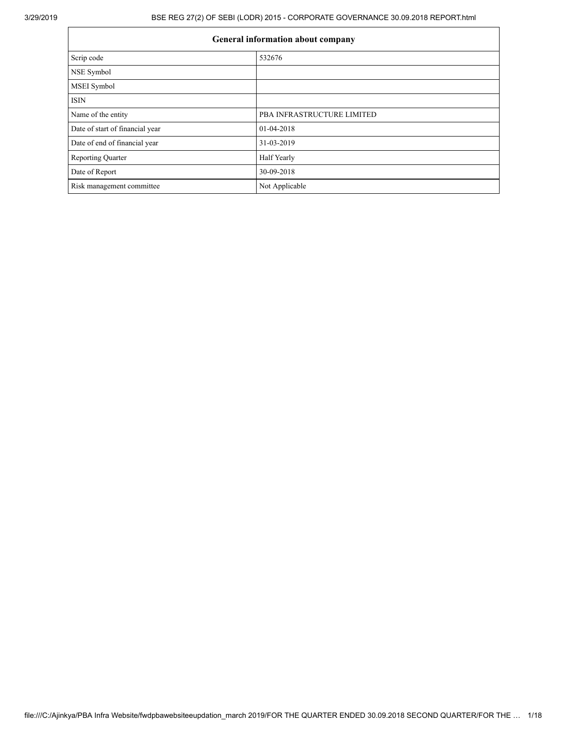| <b>General information about company</b> |                            |  |  |
|------------------------------------------|----------------------------|--|--|
| Scrip code                               | 532676                     |  |  |
| NSE Symbol                               |                            |  |  |
| <b>MSEI</b> Symbol                       |                            |  |  |
| <b>ISIN</b>                              |                            |  |  |
| Name of the entity                       | PBA INFRASTRUCTURE LIMITED |  |  |
| Date of start of financial year          | 01-04-2018                 |  |  |
| Date of end of financial year            | 31-03-2019                 |  |  |
| <b>Reporting Quarter</b>                 | Half Yearly                |  |  |
| Date of Report                           | 30-09-2018                 |  |  |
| Risk management committee                | Not Applicable             |  |  |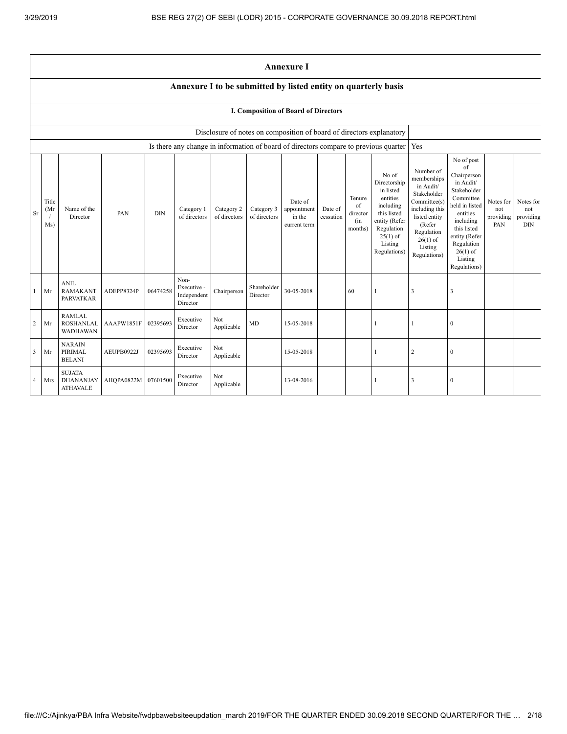Ē

|    | <b>Annexure I</b>                                              |                                                      |            |            |                                                |                                                                                      |                            |                                                  |                      |                                            |                                                                                                                                                    |                                                                                                                                                                          |                                                                                                                                                                                                            |                                      |                                      |
|----|----------------------------------------------------------------|------------------------------------------------------|------------|------------|------------------------------------------------|--------------------------------------------------------------------------------------|----------------------------|--------------------------------------------------|----------------------|--------------------------------------------|----------------------------------------------------------------------------------------------------------------------------------------------------|--------------------------------------------------------------------------------------------------------------------------------------------------------------------------|------------------------------------------------------------------------------------------------------------------------------------------------------------------------------------------------------------|--------------------------------------|--------------------------------------|
|    | Annexure I to be submitted by listed entity on quarterly basis |                                                      |            |            |                                                |                                                                                      |                            |                                                  |                      |                                            |                                                                                                                                                    |                                                                                                                                                                          |                                                                                                                                                                                                            |                                      |                                      |
|    |                                                                |                                                      |            |            |                                                |                                                                                      |                            | I. Composition of Board of Directors             |                      |                                            |                                                                                                                                                    |                                                                                                                                                                          |                                                                                                                                                                                                            |                                      |                                      |
|    |                                                                |                                                      |            |            |                                                | Disclosure of notes on composition of board of directors explanatory                 |                            |                                                  |                      |                                            |                                                                                                                                                    |                                                                                                                                                                          |                                                                                                                                                                                                            |                                      |                                      |
|    |                                                                |                                                      |            |            |                                                | Is there any change in information of board of directors compare to previous quarter |                            |                                                  |                      |                                            |                                                                                                                                                    | Yes                                                                                                                                                                      |                                                                                                                                                                                                            |                                      |                                      |
| Sr | Title<br>(Mr)<br>Ms)                                           | Name of the<br>Director                              | PAN        | <b>DIN</b> | Category 1<br>of directors                     | Category 2<br>of directors                                                           | Category 3<br>of directors | Date of<br>appointment<br>in the<br>current term | Date of<br>cessation | Tenure<br>of<br>director<br>(in<br>months) | No of<br>Directorship<br>in listed<br>entities<br>including<br>this listed<br>entity (Refer<br>Regulation<br>$25(1)$ of<br>Listing<br>Regulations) | Number of<br>memberships<br>in Audit/<br>Stakeholder<br>Committee(s)<br>including this<br>listed entity<br>(Refer<br>Regulation<br>$26(1)$ of<br>Listing<br>Regulations) | No of post<br>of<br>Chairperson<br>in Audit/<br>Stakeholder<br>Committee<br>held in listed<br>entities<br>including<br>this listed<br>entity (Refer<br>Regulation<br>$26(1)$ of<br>Listing<br>Regulations) | Notes for<br>not<br>providing<br>PAN | Notes for<br>not<br>providing<br>DIN |
| 1  | Mr                                                             | <b>ANIL</b><br><b>RAMAKANT</b><br><b>PARVATKAR</b>   | ADEPP8324P | 06474258   | Non-<br>Executive -<br>Independent<br>Director | Chairperson                                                                          | Shareholder<br>Director    | 30-05-2018                                       |                      | 60                                         |                                                                                                                                                    | 3                                                                                                                                                                        | 3                                                                                                                                                                                                          |                                      |                                      |
| 2  | Mr                                                             | <b>RAMLAL</b><br><b>ROSHANLAL</b><br><b>WADHAWAN</b> | AAAPW1851F | 02395693   | Executive<br>Director                          | Not<br>Applicable                                                                    | MD                         | 15-05-2018                                       |                      |                                            |                                                                                                                                                    |                                                                                                                                                                          | $\boldsymbol{0}$                                                                                                                                                                                           |                                      |                                      |
| 3  | Mr                                                             | <b>NARAIN</b><br>PIRIMAL<br><b>BELANI</b>            | AEUPB0922J | 02395693   | Executive<br>Director                          | Not<br>Applicable                                                                    |                            | 15-05-2018                                       |                      |                                            |                                                                                                                                                    | $\overline{2}$                                                                                                                                                           | $\boldsymbol{0}$                                                                                                                                                                                           |                                      |                                      |
| 4  | Mrs                                                            | <b>SUJATA</b><br>DHANANJAY<br><b>ATHAVALE</b>        | AHQPA0822M | 07601500   | Executive<br>Director                          | Not<br>Applicable                                                                    |                            | 13-08-2016                                       |                      |                                            |                                                                                                                                                    | 3                                                                                                                                                                        | $\bf{0}$                                                                                                                                                                                                   |                                      |                                      |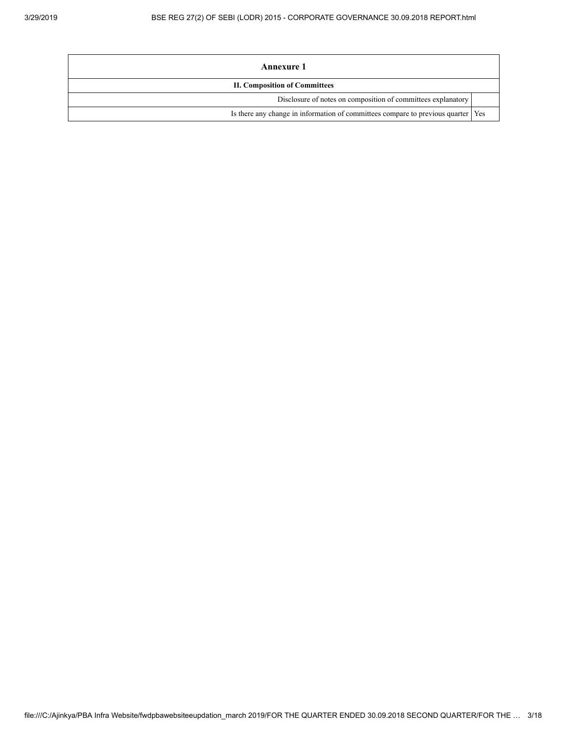| Annexure 1                                                                         |  |
|------------------------------------------------------------------------------------|--|
| <b>II. Composition of Committees</b>                                               |  |
| Disclosure of notes on composition of committees explanatory                       |  |
| Is there any change in information of committees compare to previous quarter   Yes |  |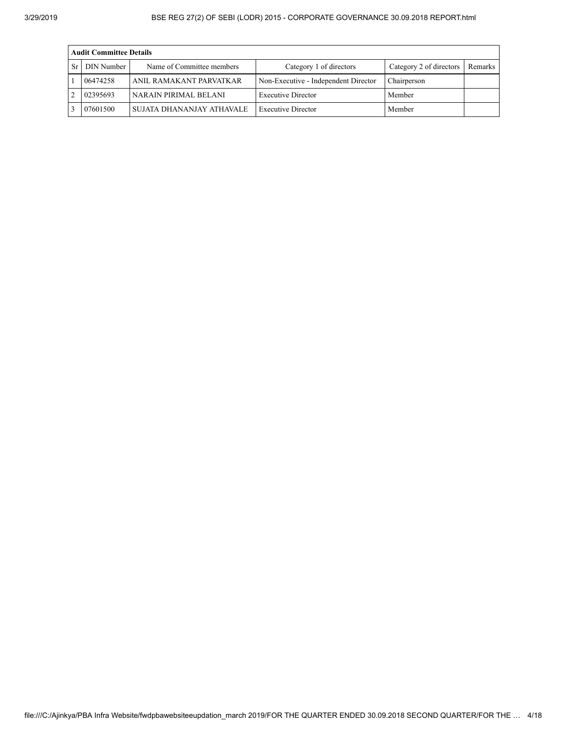|    | <b>Audit Committee Details</b> |                           |                                      |                         |         |  |  |  |  |  |
|----|--------------------------------|---------------------------|--------------------------------------|-------------------------|---------|--|--|--|--|--|
| Sr | DIN Number                     | Name of Committee members | Category 1 of directors              | Category 2 of directors | Remarks |  |  |  |  |  |
|    | 06474258                       | ANIL RAMAKANT PARVATKAR   | Non-Executive - Independent Director | Chairperson             |         |  |  |  |  |  |
|    | 02395693                       | NARAIN PIRIMAL BELANI     | <b>Executive Director</b>            | Member                  |         |  |  |  |  |  |
|    | 07601500                       | SUJATA DHANANJAY ATHAVALE | <b>Executive Director</b>            | Member                  |         |  |  |  |  |  |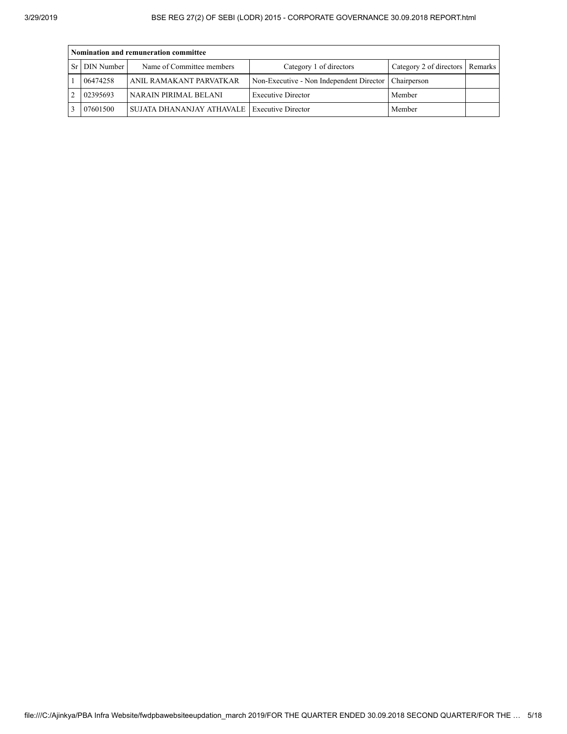| Nomination and remuneration committee |                                                |                                                        |                                   |  |  |  |  |  |  |
|---------------------------------------|------------------------------------------------|--------------------------------------------------------|-----------------------------------|--|--|--|--|--|--|
| Sr   DIN Number                       | Name of Committee members                      | Category 1 of directors                                | Category 2 of directors   Remarks |  |  |  |  |  |  |
| 06474258                              | ANIL RAMAKANT PARVATKAR                        | Non-Executive - Non Independent Director   Chairperson |                                   |  |  |  |  |  |  |
| 02395693                              | NARAIN PIRIMAL BELANI                          | <b>Executive Director</b>                              | Member                            |  |  |  |  |  |  |
| 07601500                              | SUJATA DHANANJAY ATHAVALE   Executive Director |                                                        | Member                            |  |  |  |  |  |  |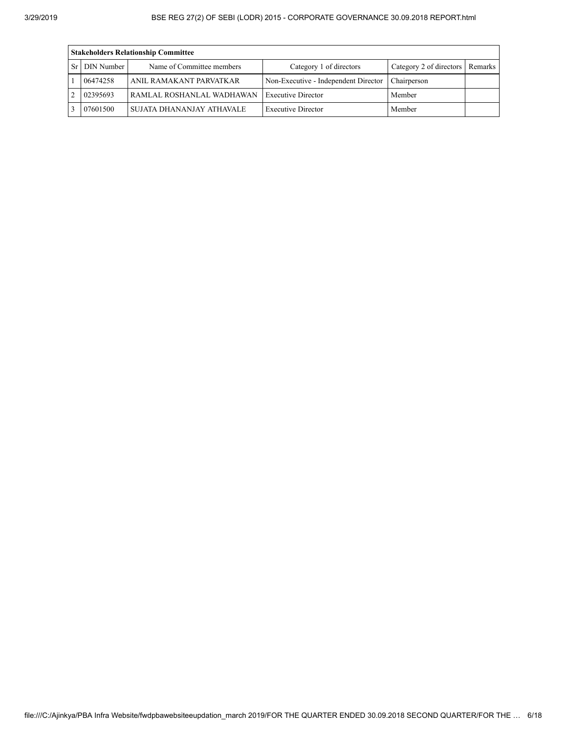| <b>Stakeholders Relationship Committee</b> |                           |                                      |                                 |  |  |  |  |  |  |
|--------------------------------------------|---------------------------|--------------------------------------|---------------------------------|--|--|--|--|--|--|
| Sr   DIN Number                            | Name of Committee members | Category 1 of directors              | Category 2 of directors Remarks |  |  |  |  |  |  |
| 06474258                                   | ANIL RAMAKANT PARVATKAR   | Non-Executive - Independent Director | Chairperson                     |  |  |  |  |  |  |
| 02395693<br>RAMLAL ROSHANLAL WADHAWAN      |                           | <b>Executive Director</b>            | Member                          |  |  |  |  |  |  |
| 07601500                                   | SUJATA DHANANJAY ATHAVALE | <b>Executive Director</b>            | Member                          |  |  |  |  |  |  |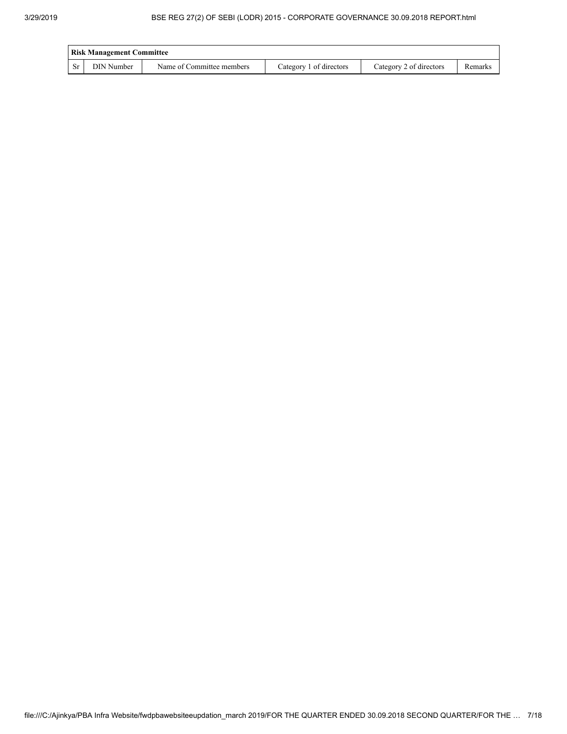|           | <b>Risk Management Committee</b> |                           |                         |                         |         |  |  |  |  |
|-----------|----------------------------------|---------------------------|-------------------------|-------------------------|---------|--|--|--|--|
| <b>Sr</b> | DIN Number                       | Name of Committee members | Category 1 of directors | Category 2 of directors | Remarks |  |  |  |  |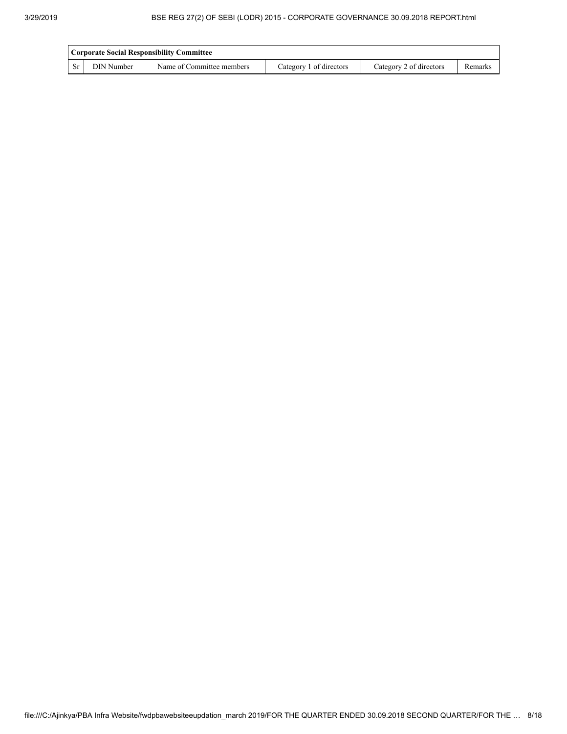|           | <b>Corporate Social Responsibility Committee</b> |                           |                         |                         |         |  |  |  |  |
|-----------|--------------------------------------------------|---------------------------|-------------------------|-------------------------|---------|--|--|--|--|
| <b>Sr</b> | <b>DIN Number</b>                                | Name of Committee members | Category 1 of directors | Category 2 of directors | Remarks |  |  |  |  |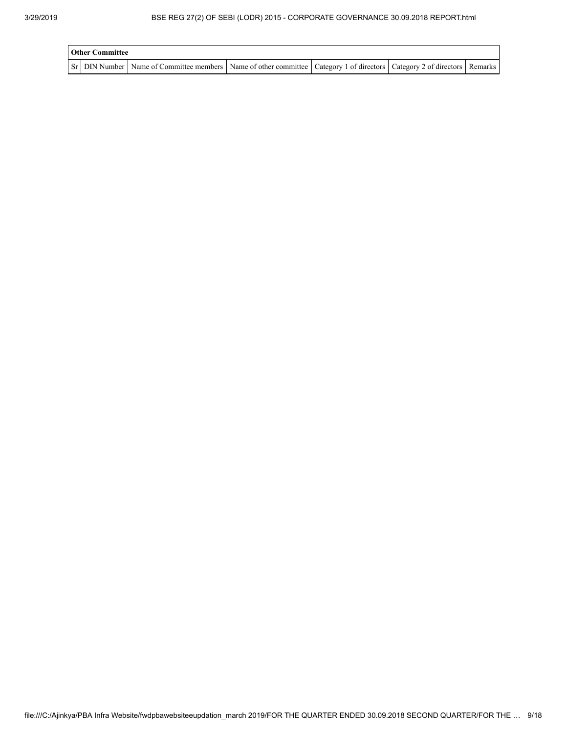| <b>Other Committee</b> |                                                                                                                                     |  |  |
|------------------------|-------------------------------------------------------------------------------------------------------------------------------------|--|--|
|                        | Sr   DIN Number   Name of Committee members   Name of other committee   Category 1 of directors   Category 2 of directors   Remarks |  |  |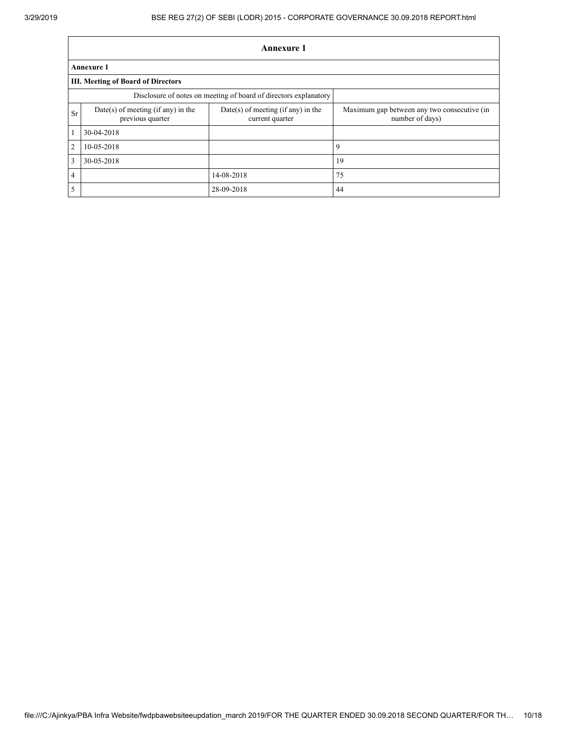|                 | <b>Annexure 1</b>                                                |                                                       |                                                                |  |  |  |  |  |  |
|-----------------|------------------------------------------------------------------|-------------------------------------------------------|----------------------------------------------------------------|--|--|--|--|--|--|
|                 | <b>Annexure 1</b>                                                |                                                       |                                                                |  |  |  |  |  |  |
|                 | <b>III. Meeting of Board of Directors</b>                        |                                                       |                                                                |  |  |  |  |  |  |
|                 | Disclosure of notes on meeting of board of directors explanatory |                                                       |                                                                |  |  |  |  |  |  |
| <b>Sr</b>       | Date(s) of meeting (if any) in the<br>previous quarter           | Date(s) of meeting (if any) in the<br>current quarter | Maximum gap between any two consecutive (in<br>number of days) |  |  |  |  |  |  |
| $\mathbf{1}$    | 30-04-2018                                                       |                                                       |                                                                |  |  |  |  |  |  |
| 2               | 10-05-2018                                                       |                                                       | 9                                                              |  |  |  |  |  |  |
| $\overline{3}$  | 30-05-2018                                                       |                                                       | 19                                                             |  |  |  |  |  |  |
| $\overline{4}$  |                                                                  | 14-08-2018                                            | 75                                                             |  |  |  |  |  |  |
| $5\overline{5}$ |                                                                  | 28-09-2018                                            | 44                                                             |  |  |  |  |  |  |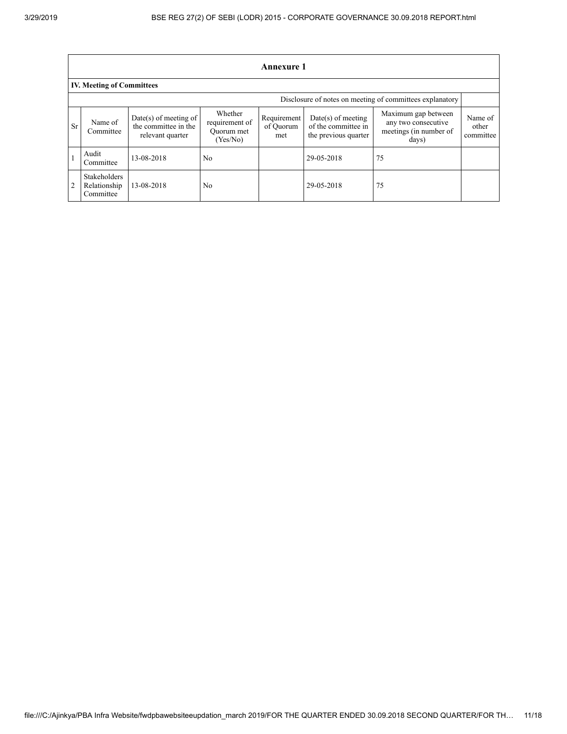|                | <b>Annexure 1</b>                                |                                                                     |                                                     |                                 |                                                                     |                                                                               |                               |  |  |  |
|----------------|--------------------------------------------------|---------------------------------------------------------------------|-----------------------------------------------------|---------------------------------|---------------------------------------------------------------------|-------------------------------------------------------------------------------|-------------------------------|--|--|--|
|                | <b>IV. Meeting of Committees</b>                 |                                                                     |                                                     |                                 |                                                                     |                                                                               |                               |  |  |  |
|                |                                                  |                                                                     |                                                     |                                 |                                                                     | Disclosure of notes on meeting of committees explanatory                      |                               |  |  |  |
| <b>Sr</b>      | Name of<br>Committee                             | $Date(s)$ of meeting of<br>the committee in the<br>relevant quarter | Whether<br>requirement of<br>Ouorum met<br>(Yes/No) | Requirement<br>of Ouorum<br>met | $Date(s)$ of meeting<br>of the committee in<br>the previous quarter | Maximum gap between<br>any two consecutive<br>meetings (in number of<br>days) | Name of<br>other<br>committee |  |  |  |
|                | Audit<br>Committee                               | 13-08-2018                                                          | N <sub>0</sub>                                      |                                 | 29-05-2018                                                          | 75                                                                            |                               |  |  |  |
| $\overline{2}$ | <b>Stakeholders</b><br>Relationship<br>Committee | 13-08-2018                                                          | N <sub>0</sub>                                      |                                 | 29-05-2018                                                          | 75                                                                            |                               |  |  |  |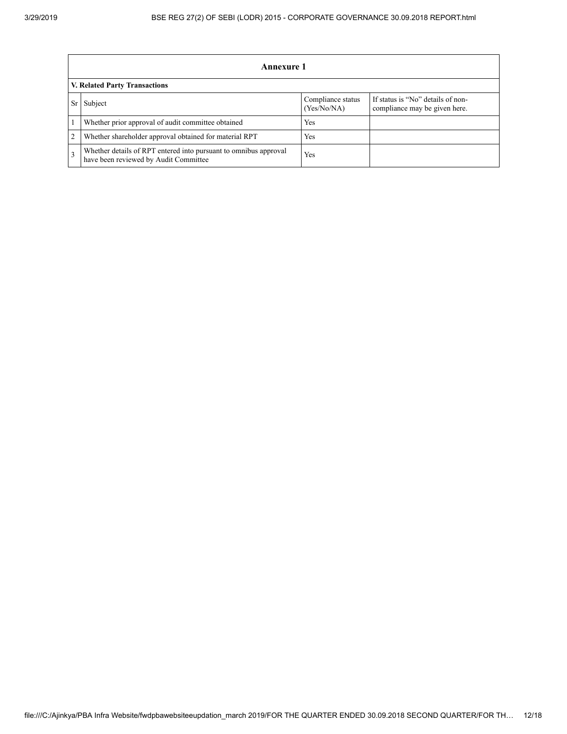|                | Annexure 1                                                                                                |                                  |                                                                    |  |  |  |  |
|----------------|-----------------------------------------------------------------------------------------------------------|----------------------------------|--------------------------------------------------------------------|--|--|--|--|
|                | <b>V. Related Party Transactions</b>                                                                      |                                  |                                                                    |  |  |  |  |
|                | Subject                                                                                                   | Compliance status<br>(Yes/No/NA) | If status is "No" details of non-<br>compliance may be given here. |  |  |  |  |
|                | Whether prior approval of audit committee obtained                                                        | Yes                              |                                                                    |  |  |  |  |
| $\overline{2}$ | Whether shareholder approval obtained for material RPT                                                    | Yes                              |                                                                    |  |  |  |  |
|                | Whether details of RPT entered into pursuant to omnibus approval<br>have been reviewed by Audit Committee | Yes                              |                                                                    |  |  |  |  |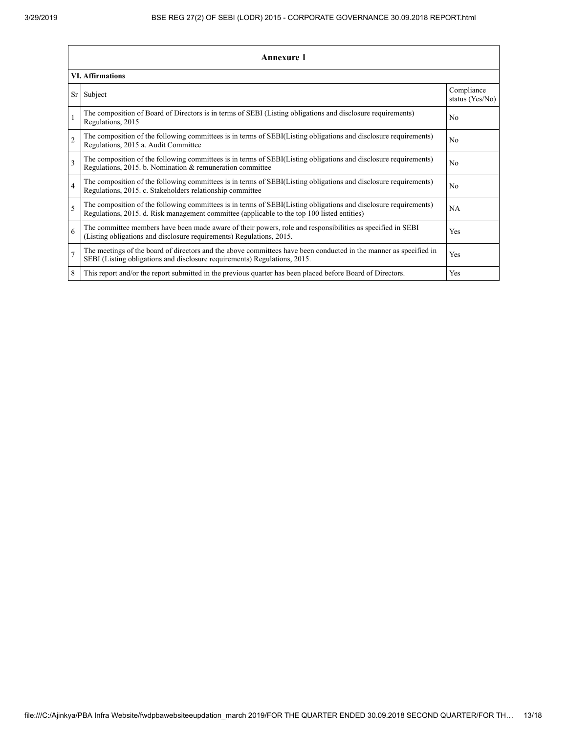|                          | <b>Annexure 1</b>                                                                                                                                                                                               |                               |  |  |  |
|--------------------------|-----------------------------------------------------------------------------------------------------------------------------------------------------------------------------------------------------------------|-------------------------------|--|--|--|
|                          | <b>VI.</b> Affirmations                                                                                                                                                                                         |                               |  |  |  |
| Sr                       | Subject                                                                                                                                                                                                         | Compliance<br>status (Yes/No) |  |  |  |
| $\mathbf{1}$             | The composition of Board of Directors is in terms of SEBI (Listing obligations and disclosure requirements)<br>Regulations, 2015                                                                                | No                            |  |  |  |
| $\overline{2}$           | The composition of the following committees is in terms of SEBI(Listing obligations and disclosure requirements)<br>Regulations, 2015 a. Audit Committee                                                        | No                            |  |  |  |
| $\overline{3}$           | The composition of the following committees is in terms of SEBI(Listing obligations and disclosure requirements)<br>Regulations, 2015. b. Nomination & remuneration committee                                   | No                            |  |  |  |
| $\overline{4}$           | The composition of the following committees is in terms of SEBI(Listing obligations and disclosure requirements)<br>Regulations, 2015. c. Stakeholders relationship committee                                   | No                            |  |  |  |
| $\overline{\phantom{0}}$ | The composition of the following committees is in terms of SEBI(Listing obligations and disclosure requirements)<br>Regulations, 2015. d. Risk management committee (applicable to the top 100 listed entities) | <b>NA</b>                     |  |  |  |
| 6                        | The committee members have been made aware of their powers, role and responsibilities as specified in SEBI<br>(Listing obligations and disclosure requirements) Regulations, 2015.                              | Yes                           |  |  |  |
| $\overline{7}$           | The meetings of the board of directors and the above committees have been conducted in the manner as specified in<br>SEBI (Listing obligations and disclosure requirements) Regulations, 2015.                  | Yes                           |  |  |  |
| 8                        | This report and/or the report submitted in the previous quarter has been placed before Board of Directors.                                                                                                      | Yes                           |  |  |  |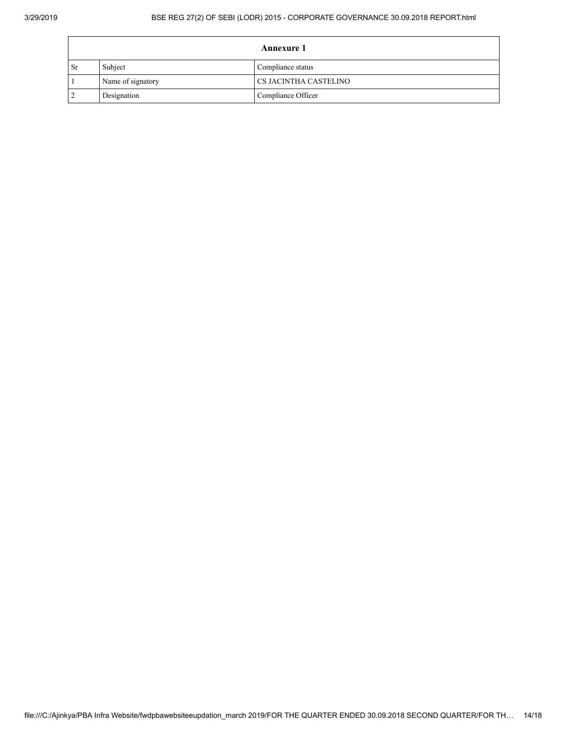## 3/29/2019 BSE REG 27(2) OF SEBI (LODR) 2015 - CORPORATE GOVERNANCE 30.09.2018 REPORT.html

| <b>Annexure 1</b> |                   |                       |  |  |
|-------------------|-------------------|-----------------------|--|--|
| <b>Sr</b>         | Subject           | Compliance status     |  |  |
|                   | Name of signatory | CS JACINTHA CASTELINO |  |  |
|                   | Designation       | Compliance Officer    |  |  |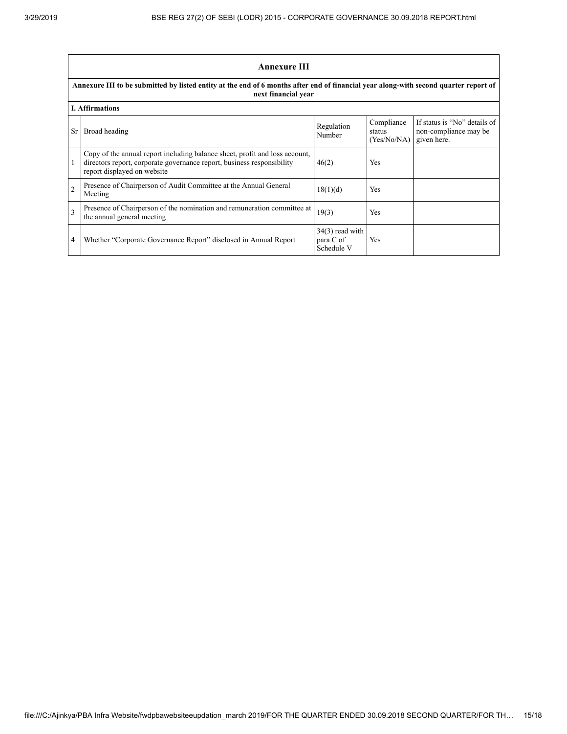$\blacksquare$ 

|                                                                                                                                                             | <b>Annexure III</b>                                                                                                                                                                  |                                              |                                     |                                                                      |  |  |
|-------------------------------------------------------------------------------------------------------------------------------------------------------------|--------------------------------------------------------------------------------------------------------------------------------------------------------------------------------------|----------------------------------------------|-------------------------------------|----------------------------------------------------------------------|--|--|
| Annexure III to be submitted by listed entity at the end of 6 months after end of financial year along-with second quarter report of<br>next financial year |                                                                                                                                                                                      |                                              |                                     |                                                                      |  |  |
|                                                                                                                                                             | <b>I.</b> Affirmations                                                                                                                                                               |                                              |                                     |                                                                      |  |  |
| <b>Sr</b>                                                                                                                                                   | Broad heading                                                                                                                                                                        | Regulation<br>Number                         | Compliance<br>status<br>(Yes/No/NA) | If status is "No" details of<br>non-compliance may be<br>given here. |  |  |
|                                                                                                                                                             | Copy of the annual report including balance sheet, profit and loss account,<br>directors report, corporate governance report, business responsibility<br>report displayed on website | 46(2)                                        | Yes                                 |                                                                      |  |  |
| $\overline{2}$                                                                                                                                              | Presence of Chairperson of Audit Committee at the Annual General<br>Meeting                                                                                                          | 18(1)(d)                                     | Yes                                 |                                                                      |  |  |
| $\mathbf{3}$                                                                                                                                                | Presence of Chairperson of the nomination and remuneration committee at<br>the annual general meeting                                                                                | 19(3)                                        | <b>Yes</b>                          |                                                                      |  |  |
| $\overline{4}$                                                                                                                                              | Whether "Corporate Governance Report" disclosed in Annual Report                                                                                                                     | $34(3)$ read with<br>para C of<br>Schedule V | Yes                                 |                                                                      |  |  |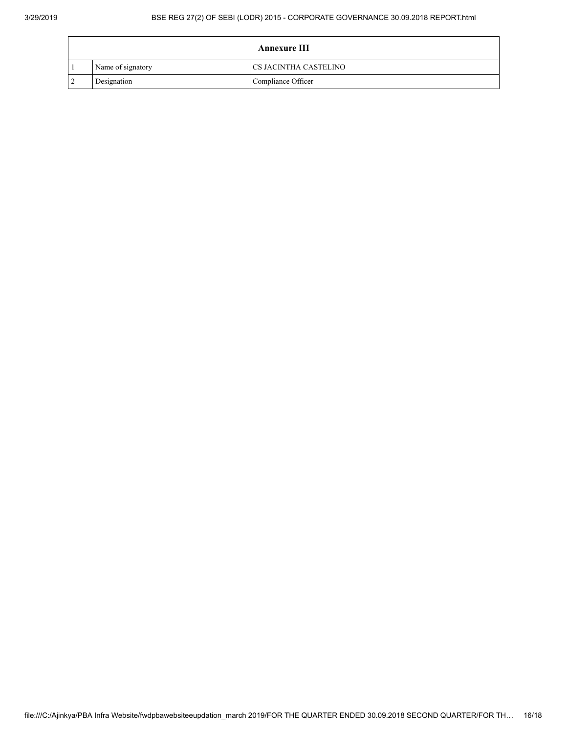| <b>Annexure III</b> |                   |                       |  |
|---------------------|-------------------|-----------------------|--|
|                     | Name of signatory | CS JACINTHA CASTELINO |  |
|                     | Designation       | Compliance Officer    |  |